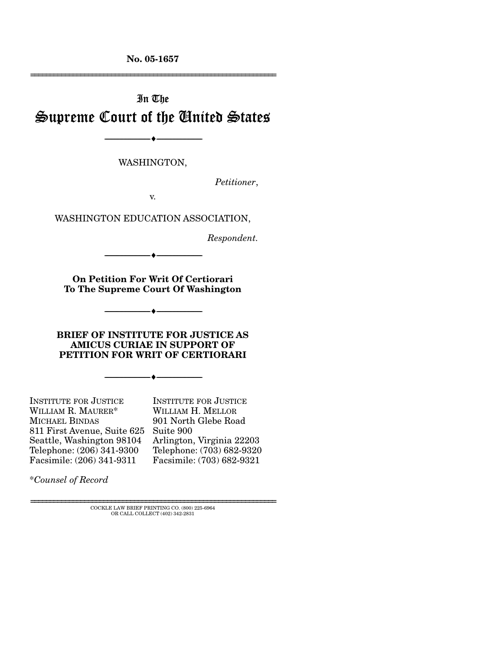**No. 05-1657**  ================================================================

# In The Supreme Court of the United States

--------------------------------- ♦ ---------------------------------

WASHINGTON,

*Petitioner*,

v.

WASHINGTON EDUCATION ASSOCIATION,

*Respondent.* 

**On Petition For Writ Of Certiorari To The Supreme Court Of Washington** 

--------------------------------- ♦ ---------------------------------

--------------------------------- ♦ ---------------------------------

**BRIEF OF INSTITUTE FOR JUSTICE AS AMICUS CURIAE IN SUPPORT OF PETITION FOR WRIT OF CERTIORARI** 

--------------------------------- ♦ ---------------------------------

INSTITUTE FOR JUSTICE WILLIAM R. MAURER\* MICHAEL BINDAS 811 First Avenue, Suite 625 Suite 900 Seattle, Washington 98104 Telephone: (206) 341-9300 Facsimile: (206) 341-9311

INSTITUTE FOR JUSTICE WILLIAM H. MELLOR 901 North Glebe Road Arlington, Virginia 22203 Telephone: (703) 682-9320 Facsimile: (703) 682-9321

\**Counsel of Record*

================================================================ COCKLE LAW BRIEF PRINTING CO. (800) 225-6964 OR CALL COLLECT (402) 342-2831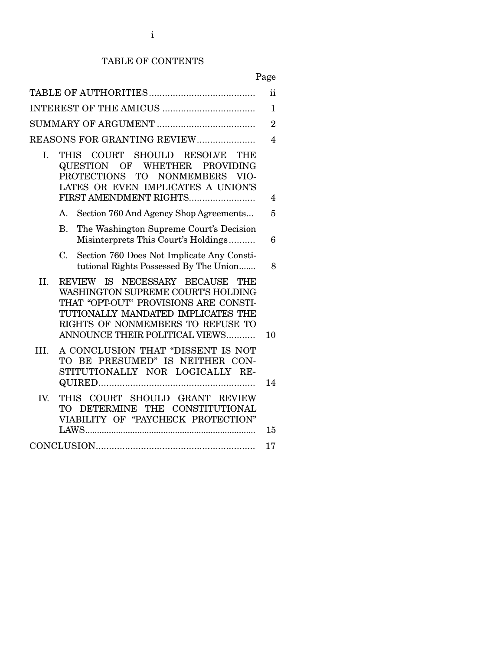# TABLE OF CONTENTS

Page

|      |                                                                                                                                                                                                                                   | ii             |
|------|-----------------------------------------------------------------------------------------------------------------------------------------------------------------------------------------------------------------------------------|----------------|
|      |                                                                                                                                                                                                                                   | $\mathbf{1}$   |
|      |                                                                                                                                                                                                                                   | $\overline{2}$ |
|      | REASONS FOR GRANTING REVIEW                                                                                                                                                                                                       | $\overline{4}$ |
| I.   | SHOULD RESOLVE<br>THIS COURT<br>THE<br>OF WHETHER<br>QUESTION<br><b>PROVIDING</b><br><b>PROTECTIONS</b><br><b>TO</b><br><b>NONMEMBERS</b><br>VIO-<br>LATES OR EVEN IMPLICATES A UNION'S<br>FIRST AMENDMENT RIGHTS                 | 4              |
|      | Section 760 And Agency Shop Agreements<br>A.                                                                                                                                                                                      | 5              |
|      | The Washington Supreme Court's Decision<br>Β.<br>Misinterprets This Court's Holdings                                                                                                                                              | 6              |
|      | Section 760 Does Not Implicate Any Consti-<br>$C_{\cdot}$<br>tutional Rights Possessed By The Union                                                                                                                               | 8              |
| II.  | NECESSARY BECAUSE<br>REVIEW IS<br>THE<br>WASHINGTON SUPREME COURT'S HOLDING<br>THAT "OPT-OUT" PROVISIONS ARE CONSTI-<br>TUTIONALLY MANDATED IMPLICATES THE<br>RIGHTS OF NONMEMBERS TO REFUSE TO<br>ANNOUNCE THEIR POLITICAL VIEWS | 10             |
| III. | A CONCLUSION THAT "DISSENT IS NOT<br>TO BE PRESUMED" IS NEITHER CON-<br>STITUTIONALLY NOR LOGICALLY RE-                                                                                                                           | 14             |
| IV.  | THIS COURT SHOULD GRANT REVIEW<br>TO DETERMINE<br>THE CONSTITUTIONAL<br>VIABILITY OF "PAYCHECK PROTECTION"                                                                                                                        | 15             |
|      |                                                                                                                                                                                                                                   | 17             |
|      |                                                                                                                                                                                                                                   |                |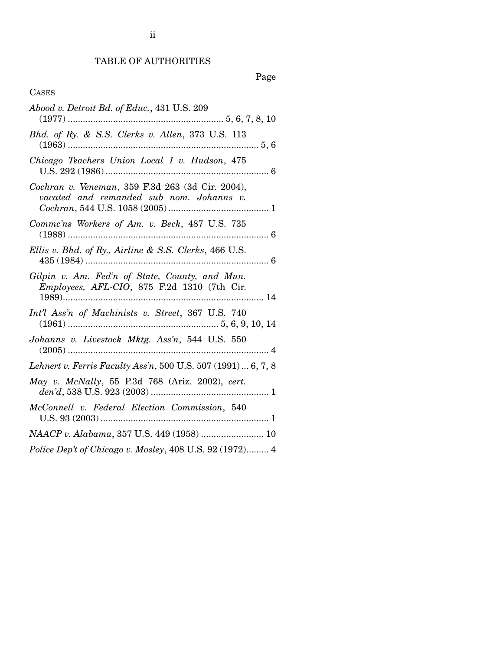# Page

# CASES

| Abood v. Detroit Bd. of Educ., 431 U.S. 209                                                   |
|-----------------------------------------------------------------------------------------------|
| Bhd. of Ry. & S.S. Clerks v. Allen, 373 U.S. 113                                              |
| Chicago Teachers Union Local 1 v. Hudson, 475                                                 |
| Cochran v. Veneman, 359 F.3d 263 (3d Cir. 2004),<br>vacated and remanded sub nom. Johanns v.  |
| Comme'ns Workers of Am. v. Beck, 487 U.S. 735                                                 |
| Ellis v. Bhd. of Ry., Airline & S.S. Clerks, 466 U.S.                                         |
| Gilpin v. Am. Fed'n of State, County, and Mun.<br>Employees, AFL-CIO, 875 F.2d 1310 (7th Cir. |
| Int'l Ass'n of Machinists v. Street, 367 U.S. 740                                             |
| Johanns v. Livestock Mktg. Ass'n, 544 U.S. 550                                                |
| Lehnert v. Ferris Faculty Ass'n, 500 U.S. 507 (1991)  6, 7, 8                                 |
| May v. McNally, 55 P.3d 768 (Ariz. 2002), cert.                                               |
| McConnell v. Federal Election Commission, 540                                                 |
| NAACP v. Alabama, 357 U.S. 449 (1958)  10                                                     |
| Police Dep't of Chicago v. Mosley, 408 U.S. 92 (1972) 4                                       |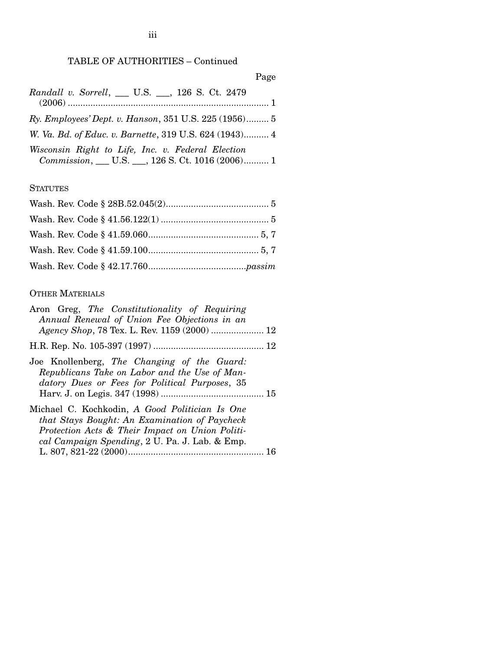# TABLE OF AUTHORITIES – Continued

Page

| Randall v. Sorrell, __ U.S. __, 126 S. Ct. 2479                                                       |  |
|-------------------------------------------------------------------------------------------------------|--|
| Ry. Employees' Dept. v. Hanson, 351 U.S. 225 (1956) 5                                                 |  |
| W. Va. Bd. of Educ. v. Barnette, 319 U.S. 624 (1943) 4                                                |  |
| Wisconsin Right to Life, Inc. v. Federal Election<br>Commission, __ U.S. __, 126 S. Ct. 1016 (2006) 1 |  |

# **STATUTES**

# OTHER MATERIALS

| Aron Greg, The Constitutionality of Requiring                                                                                                                                                        |
|------------------------------------------------------------------------------------------------------------------------------------------------------------------------------------------------------|
| Annual Renewal of Union Fee Objections in an                                                                                                                                                         |
|                                                                                                                                                                                                      |
|                                                                                                                                                                                                      |
| Joe Knollenberg, The Changing of the Guard:<br>Republicans Take on Labor and the Use of Man-<br>datory Dues or Fees for Political Purposes, 35                                                       |
| Michael C. Kochkodin, A Good Politician Is One<br>that Stays Bought: An Examination of Paycheck<br>Protection Acts & Their Impact on Union Politi-<br>cal Campaign Spending, 2 U. Pa. J. Lab. & Emp. |
| -16                                                                                                                                                                                                  |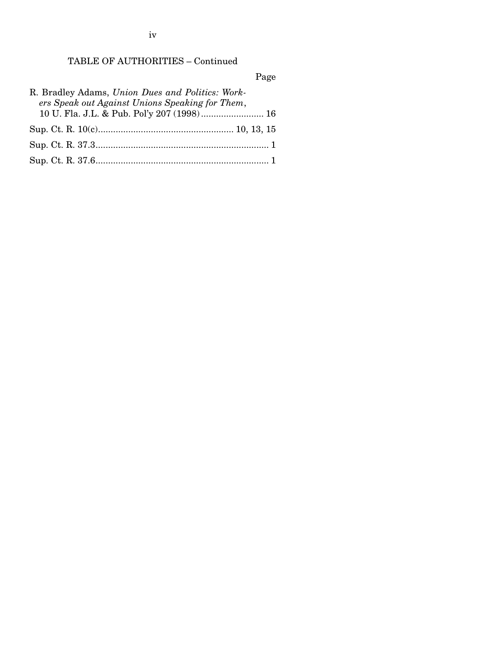iv

# TABLE OF AUTHORITIES – Continued

Page

| R. Bradley Adams, Union Dues and Politics: Work- |  |
|--------------------------------------------------|--|
| ers Speak out Against Unions Speaking for Them,  |  |
| 10 U. Fla. J.L. & Pub. Pol'y 207 (1998) 16       |  |
|                                                  |  |
|                                                  |  |
|                                                  |  |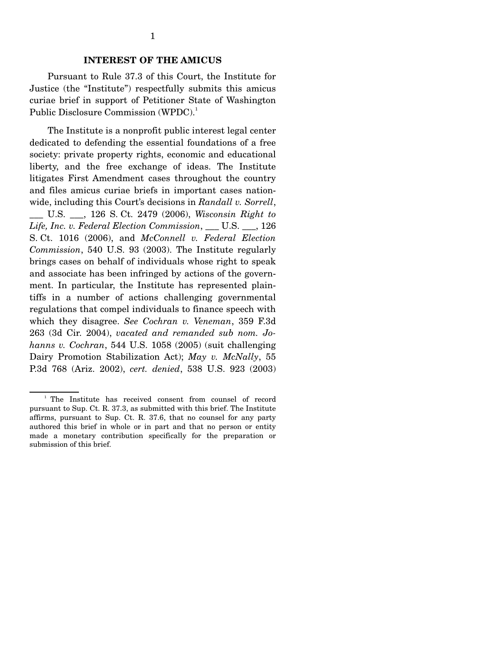#### **INTEREST OF THE AMICUS**

 Pursuant to Rule 37.3 of this Court, the Institute for Justice (the "Institute") respectfully submits this amicus curiae brief in support of Petitioner State of Washington Public Disclosure Commission (WPDC).<sup>1</sup>

 The Institute is a nonprofit public interest legal center dedicated to defending the essential foundations of a free society: private property rights, economic and educational liberty, and the free exchange of ideas. The Institute litigates First Amendment cases throughout the country and files amicus curiae briefs in important cases nationwide, including this Court's decisions in *Randall v. Sorrell*,

\_\_\_ U.S. \_\_\_, 126 S. Ct. 2479 (2006), *Wisconsin Right to Life, Inc. v. Federal Election Commission*, \_\_\_ U.S. \_\_\_, 126 S. Ct. 1016 (2006), and *McConnell v. Federal Election Commission*, 540 U.S. 93 (2003). The Institute regularly brings cases on behalf of individuals whose right to speak and associate has been infringed by actions of the government. In particular, the Institute has represented plaintiffs in a number of actions challenging governmental regulations that compel individuals to finance speech with which they disagree. *See Cochran v. Veneman*, 359 F.3d 263 (3d Cir. 2004), *vacated and remanded sub nom. Johanns v. Cochran*, 544 U.S. 1058 (2005) (suit challenging Dairy Promotion Stabilization Act); *May v. McNally*, 55 P.3d 768 (Ariz. 2002), *cert. denied*, 538 U.S. 923 (2003)

<sup>&</sup>lt;sup>1</sup> The Institute has received consent from counsel of record pursuant to Sup. Ct. R. 37.3, as submitted with this brief. The Institute affirms, pursuant to Sup. Ct. R. 37.6, that no counsel for any party authored this brief in whole or in part and that no person or entity made a monetary contribution specifically for the preparation or submission of this brief.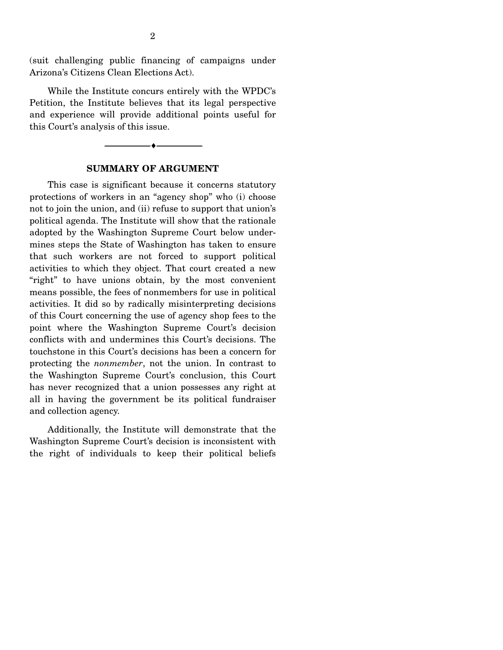(suit challenging public financing of campaigns under Arizona's Citizens Clean Elections Act).

 While the Institute concurs entirely with the WPDC's Petition, the Institute believes that its legal perspective and experience will provide additional points useful for this Court's analysis of this issue.

### **SUMMARY OF ARGUMENT**

--------------------------------- ♦ ---------------------------------

 This case is significant because it concerns statutory protections of workers in an "agency shop" who (i) choose not to join the union, and (ii) refuse to support that union's political agenda. The Institute will show that the rationale adopted by the Washington Supreme Court below undermines steps the State of Washington has taken to ensure that such workers are not forced to support political activities to which they object. That court created a new "right" to have unions obtain, by the most convenient means possible, the fees of nonmembers for use in political activities. It did so by radically misinterpreting decisions of this Court concerning the use of agency shop fees to the point where the Washington Supreme Court's decision conflicts with and undermines this Court's decisions. The touchstone in this Court's decisions has been a concern for protecting the *nonmember*, not the union. In contrast to the Washington Supreme Court's conclusion, this Court has never recognized that a union possesses any right at all in having the government be its political fundraiser and collection agency.

 Additionally, the Institute will demonstrate that the Washington Supreme Court's decision is inconsistent with the right of individuals to keep their political beliefs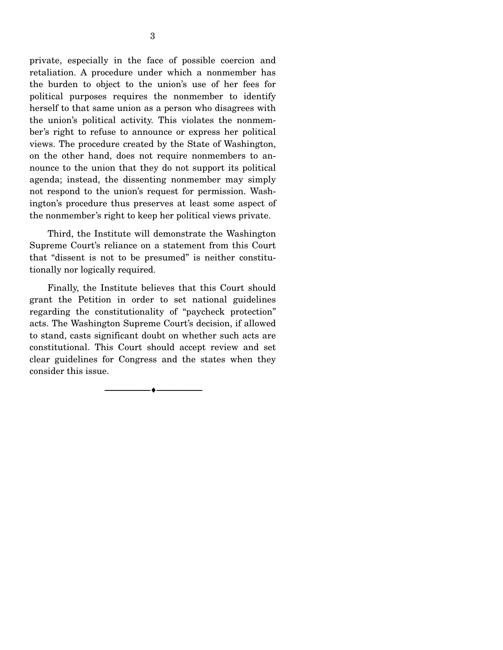private, especially in the face of possible coercion and retaliation. A procedure under which a nonmember has the burden to object to the union's use of her fees for political purposes requires the nonmember to identify herself to that same union as a person who disagrees with the union's political activity. This violates the nonmember's right to refuse to announce or express her political views. The procedure created by the State of Washington, on the other hand, does not require nonmembers to announce to the union that they do not support its political agenda; instead, the dissenting nonmember may simply not respond to the union's request for permission. Washington's procedure thus preserves at least some aspect of the nonmember's right to keep her political views private.

 Third, the Institute will demonstrate the Washington Supreme Court's reliance on a statement from this Court that "dissent is not to be presumed" is neither constitutionally nor logically required.

 Finally, the Institute believes that this Court should grant the Petition in order to set national guidelines regarding the constitutionality of "paycheck protection" acts. The Washington Supreme Court's decision, if allowed to stand, casts significant doubt on whether such acts are constitutional. This Court should accept review and set clear guidelines for Congress and the states when they consider this issue.

--------------------------------- ♦ ---------------------------------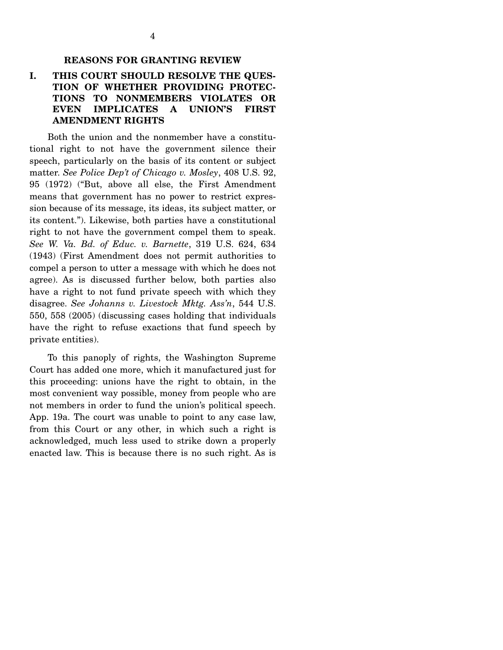#### **REASONS FOR GRANTING REVIEW**

### **I. THIS COURT SHOULD RESOLVE THE QUES-TION OF WHETHER PROVIDING PROTEC-TIONS TO NONMEMBERS VIOLATES OR EVEN IMPLICATES A UNION'S FIRST AMENDMENT RIGHTS**

 Both the union and the nonmember have a constitutional right to not have the government silence their speech, particularly on the basis of its content or subject matter. *See Police Dep't of Chicago v. Mosley*, 408 U.S. 92, 95 (1972) ("But, above all else, the First Amendment means that government has no power to restrict expression because of its message, its ideas, its subject matter, or its content."). Likewise, both parties have a constitutional right to not have the government compel them to speak. *See W. Va. Bd. of Educ. v. Barnette*, 319 U.S. 624, 634 (1943) (First Amendment does not permit authorities to compel a person to utter a message with which he does not agree). As is discussed further below, both parties also have a right to not fund private speech with which they disagree. *See Johanns v. Livestock Mktg. Ass'n*, 544 U.S. 550, 558 (2005) (discussing cases holding that individuals have the right to refuse exactions that fund speech by private entities).

 To this panoply of rights, the Washington Supreme Court has added one more, which it manufactured just for this proceeding: unions have the right to obtain, in the most convenient way possible, money from people who are not members in order to fund the union's political speech. App. 19a. The court was unable to point to any case law, from this Court or any other, in which such a right is acknowledged, much less used to strike down a properly enacted law. This is because there is no such right. As is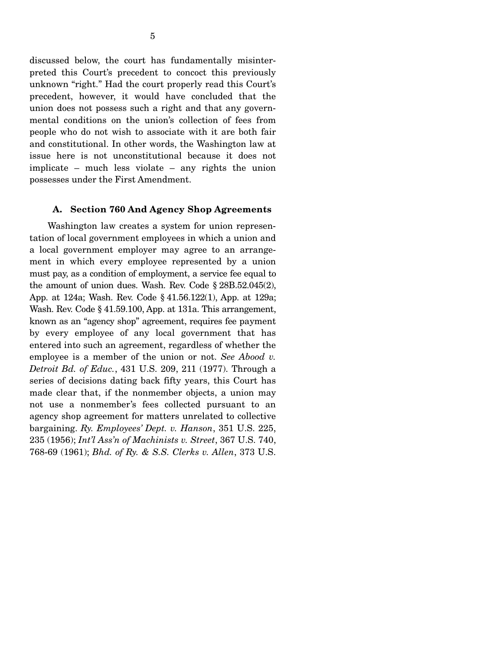discussed below, the court has fundamentally misinterpreted this Court's precedent to concoct this previously unknown "right." Had the court properly read this Court's precedent, however, it would have concluded that the union does not possess such a right and that any governmental conditions on the union's collection of fees from people who do not wish to associate with it are both fair and constitutional. In other words, the Washington law at issue here is not unconstitutional because it does not implicate – much less violate – any rights the union possesses under the First Amendment.

#### **A. Section 760 And Agency Shop Agreements**

 Washington law creates a system for union representation of local government employees in which a union and a local government employer may agree to an arrangement in which every employee represented by a union must pay, as a condition of employment, a service fee equal to the amount of union dues. Wash. Rev. Code § 28B.52.045(2), App. at 124a; Wash. Rev. Code § 41.56.122(1), App. at 129a; Wash. Rev. Code § 41.59.100, App. at 131a. This arrangement, known as an "agency shop" agreement, requires fee payment by every employee of any local government that has entered into such an agreement, regardless of whether the employee is a member of the union or not. *See Abood v. Detroit Bd. of Educ.*, 431 U.S. 209, 211 (1977). Through a series of decisions dating back fifty years, this Court has made clear that, if the nonmember objects, a union may not use a nonmember's fees collected pursuant to an agency shop agreement for matters unrelated to collective bargaining. *Ry. Employees' Dept. v. Hanson*, 351 U.S. 225, 235 (1956); *Int'l Ass'n of Machinists v. Street*, 367 U.S. 740, 768-69 (1961); *Bhd. of Ry. & S.S. Clerks v. Allen*, 373 U.S.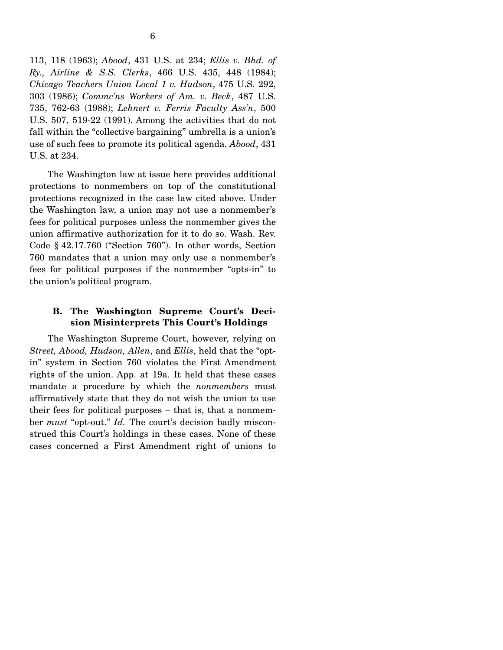113, 118 (1963); *Abood*, 431 U.S. at 234; *Ellis v. Bhd. of Ry., Airline & S.S. Clerks*, 466 U.S. 435, 448 (1984); *Chicago Teachers Union Local 1 v. Hudson*, 475 U.S. 292, 303 (1986); *Commc'ns Workers of Am. v. Beck*, 487 U.S. 735, 762-63 (1988); *Lehnert v. Ferris Faculty Ass'n*, 500 U.S. 507, 519-22 (1991). Among the activities that do not fall within the "collective bargaining" umbrella is a union's use of such fees to promote its political agenda. *Abood*, 431 U.S. at 234.

 The Washington law at issue here provides additional protections to nonmembers on top of the constitutional protections recognized in the case law cited above. Under the Washington law, a union may not use a nonmember's fees for political purposes unless the nonmember gives the union affirmative authorization for it to do so. Wash. Rev. Code § 42.17.760 ("Section 760"). In other words, Section 760 mandates that a union may only use a nonmember's fees for political purposes if the nonmember "opts-in" to the union's political program.

### **B. The Washington Supreme Court's Decision Misinterprets This Court's Holdings**

 The Washington Supreme Court, however, relying on *Street, Abood, Hudson, Allen*, and *Ellis*, held that the "optin" system in Section 760 violates the First Amendment rights of the union. App. at 19a. It held that these cases mandate a procedure by which the *nonmembers* must affirmatively state that they do not wish the union to use their fees for political purposes – that is, that a nonmember *must* "opt-out." *Id.* The court's decision badly misconstrued this Court's holdings in these cases. None of these cases concerned a First Amendment right of unions to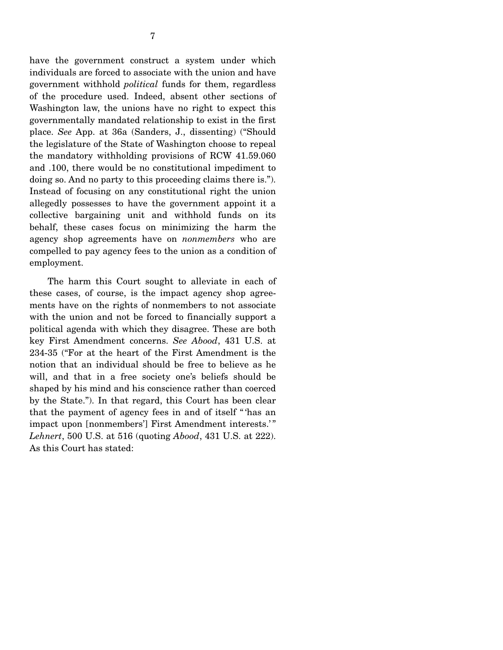have the government construct a system under which individuals are forced to associate with the union and have government withhold *political* funds for them, regardless of the procedure used. Indeed, absent other sections of Washington law, the unions have no right to expect this governmentally mandated relationship to exist in the first place. *See* App. at 36a (Sanders, J., dissenting) ("Should the legislature of the State of Washington choose to repeal the mandatory withholding provisions of RCW 41.59.060 and .100, there would be no constitutional impediment to doing so. And no party to this proceeding claims there is."). Instead of focusing on any constitutional right the union allegedly possesses to have the government appoint it a collective bargaining unit and withhold funds on its behalf, these cases focus on minimizing the harm the agency shop agreements have on *nonmembers* who are compelled to pay agency fees to the union as a condition of employment.

 The harm this Court sought to alleviate in each of these cases, of course, is the impact agency shop agreements have on the rights of nonmembers to not associate with the union and not be forced to financially support a political agenda with which they disagree. These are both key First Amendment concerns. *See Abood*, 431 U.S. at 234-35 ("For at the heart of the First Amendment is the notion that an individual should be free to believe as he will, and that in a free society one's beliefs should be shaped by his mind and his conscience rather than coerced by the State."). In that regard, this Court has been clear that the payment of agency fees in and of itself " 'has an impact upon [nonmembers'] First Amendment interests.' " *Lehnert*, 500 U.S. at 516 (quoting *Abood*, 431 U.S. at 222). As this Court has stated: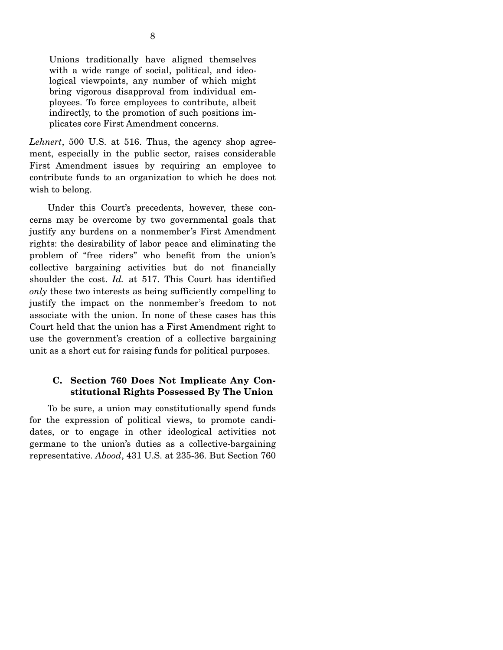Unions traditionally have aligned themselves with a wide range of social, political, and ideological viewpoints, any number of which might bring vigorous disapproval from individual employees. To force employees to contribute, albeit indirectly, to the promotion of such positions implicates core First Amendment concerns.

*Lehnert*, 500 U.S. at 516. Thus, the agency shop agreement, especially in the public sector, raises considerable First Amendment issues by requiring an employee to contribute funds to an organization to which he does not wish to belong.

 Under this Court's precedents, however, these concerns may be overcome by two governmental goals that justify any burdens on a nonmember's First Amendment rights: the desirability of labor peace and eliminating the problem of "free riders" who benefit from the union's collective bargaining activities but do not financially shoulder the cost. *Id.* at 517. This Court has identified *only* these two interests as being sufficiently compelling to justify the impact on the nonmember's freedom to not associate with the union. In none of these cases has this Court held that the union has a First Amendment right to use the government's creation of a collective bargaining unit as a short cut for raising funds for political purposes.

### **C. Section 760 Does Not Implicate Any Constitutional Rights Possessed By The Union**

 To be sure, a union may constitutionally spend funds for the expression of political views, to promote candidates, or to engage in other ideological activities not germane to the union's duties as a collective-bargaining representative. *Abood*, 431 U.S. at 235-36. But Section 760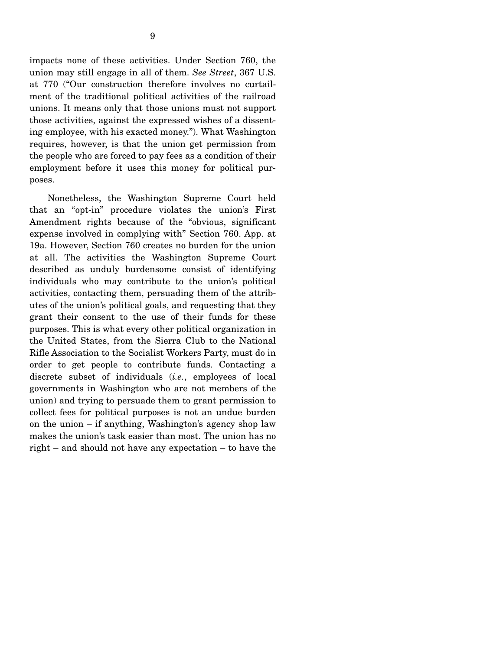impacts none of these activities. Under Section 760, the union may still engage in all of them. *See Street*, 367 U.S. at 770 ("Our construction therefore involves no curtailment of the traditional political activities of the railroad unions. It means only that those unions must not support those activities, against the expressed wishes of a dissenting employee, with his exacted money."). What Washington requires, however, is that the union get permission from the people who are forced to pay fees as a condition of their employment before it uses this money for political purposes.

 Nonetheless, the Washington Supreme Court held that an "opt-in" procedure violates the union's First Amendment rights because of the "obvious, significant expense involved in complying with" Section 760. App. at 19a. However, Section 760 creates no burden for the union at all. The activities the Washington Supreme Court described as unduly burdensome consist of identifying individuals who may contribute to the union's political activities, contacting them, persuading them of the attributes of the union's political goals, and requesting that they grant their consent to the use of their funds for these purposes. This is what every other political organization in the United States, from the Sierra Club to the National Rifle Association to the Socialist Workers Party, must do in order to get people to contribute funds. Contacting a discrete subset of individuals (*i.e.*, employees of local governments in Washington who are not members of the union) and trying to persuade them to grant permission to collect fees for political purposes is not an undue burden on the union – if anything, Washington's agency shop law makes the union's task easier than most. The union has no right – and should not have any expectation – to have the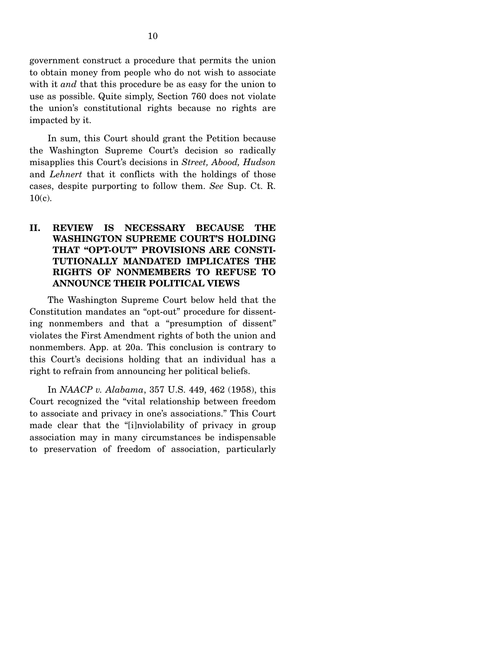government construct a procedure that permits the union to obtain money from people who do not wish to associate with it *and* that this procedure be as easy for the union to use as possible. Quite simply, Section 760 does not violate the union's constitutional rights because no rights are impacted by it.

 In sum, this Court should grant the Petition because the Washington Supreme Court's decision so radically misapplies this Court's decisions in *Street, Abood, Hudson*  and *Lehnert* that it conflicts with the holdings of those cases, despite purporting to follow them. *See* Sup. Ct. R. 10(c).

## **II. REVIEW IS NECESSARY BECAUSE THE WASHINGTON SUPREME COURT'S HOLDING THAT "OPT-OUT" PROVISIONS ARE CONSTI-TUTIONALLY MANDATED IMPLICATES THE RIGHTS OF NONMEMBERS TO REFUSE TO ANNOUNCE THEIR POLITICAL VIEWS**

 The Washington Supreme Court below held that the Constitution mandates an "opt-out" procedure for dissenting nonmembers and that a "presumption of dissent" violates the First Amendment rights of both the union and nonmembers. App. at 20a. This conclusion is contrary to this Court's decisions holding that an individual has a right to refrain from announcing her political beliefs.

 In *NAACP v. Alabama*, 357 U.S. 449, 462 (1958), this Court recognized the "vital relationship between freedom to associate and privacy in one's associations." This Court made clear that the "[i]nviolability of privacy in group association may in many circumstances be indispensable to preservation of freedom of association, particularly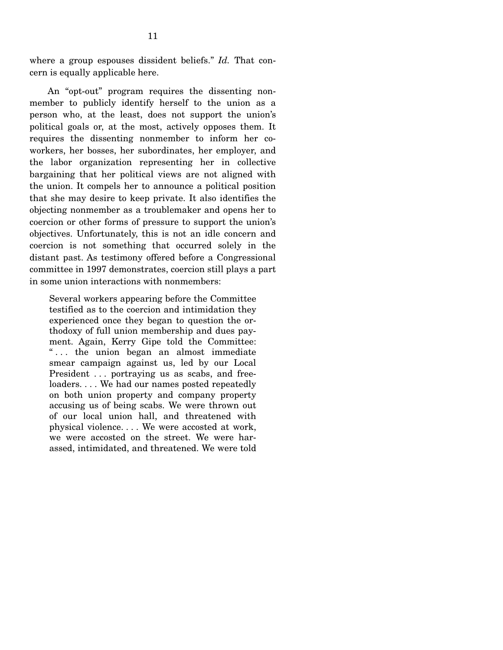where a group espouses dissident beliefs." *Id.* That concern is equally applicable here.

 An "opt-out" program requires the dissenting nonmember to publicly identify herself to the union as a person who, at the least, does not support the union's political goals or, at the most, actively opposes them. It requires the dissenting nonmember to inform her coworkers, her bosses, her subordinates, her employer, and the labor organization representing her in collective bargaining that her political views are not aligned with the union. It compels her to announce a political position that she may desire to keep private. It also identifies the objecting nonmember as a troublemaker and opens her to coercion or other forms of pressure to support the union's objectives. Unfortunately, this is not an idle concern and coercion is not something that occurred solely in the distant past. As testimony offered before a Congressional committee in 1997 demonstrates, coercion still plays a part in some union interactions with nonmembers:

Several workers appearing before the Committee testified as to the coercion and intimidation they experienced once they began to question the orthodoxy of full union membership and dues payment. Again, Kerry Gipe told the Committee: " . . . the union began an almost immediate smear campaign against us, led by our Local President ... portraying us as scabs, and freeloaders. . . . We had our names posted repeatedly on both union property and company property accusing us of being scabs. We were thrown out of our local union hall, and threatened with physical violence. . . . We were accosted at work, we were accosted on the street. We were harassed, intimidated, and threatened. We were told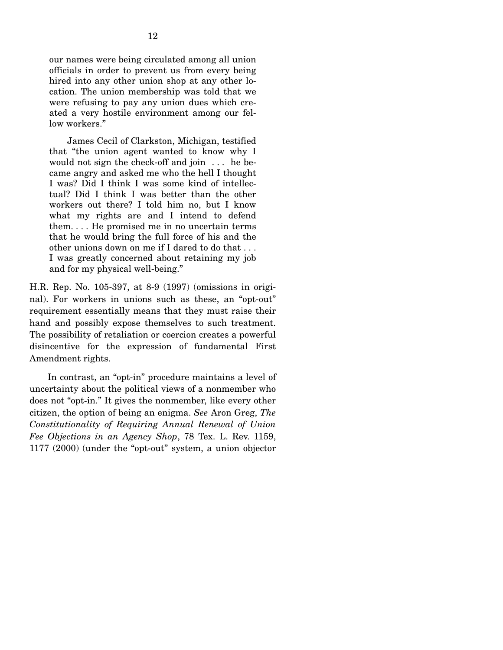our names were being circulated among all union officials in order to prevent us from every being hired into any other union shop at any other location. The union membership was told that we were refusing to pay any union dues which created a very hostile environment among our fellow workers."

12

 James Cecil of Clarkston, Michigan, testified that "the union agent wanted to know why I would not sign the check-off and join . . . he became angry and asked me who the hell I thought I was? Did I think I was some kind of intellectual? Did I think I was better than the other workers out there? I told him no, but I know what my rights are and I intend to defend them. . . . He promised me in no uncertain terms that he would bring the full force of his and the other unions down on me if I dared to do that . . . I was greatly concerned about retaining my job and for my physical well-being."

H.R. Rep. No. 105-397, at 8-9 (1997) (omissions in original). For workers in unions such as these, an "opt-out" requirement essentially means that they must raise their hand and possibly expose themselves to such treatment. The possibility of retaliation or coercion creates a powerful disincentive for the expression of fundamental First Amendment rights.

 In contrast, an "opt-in" procedure maintains a level of uncertainty about the political views of a nonmember who does not "opt-in." It gives the nonmember, like every other citizen, the option of being an enigma. *See* Aron Greg, *The Constitutionality of Requiring Annual Renewal of Union Fee Objections in an Agency Shop*, 78 Tex. L. Rev. 1159, 1177 (2000) (under the "opt-out" system, a union objector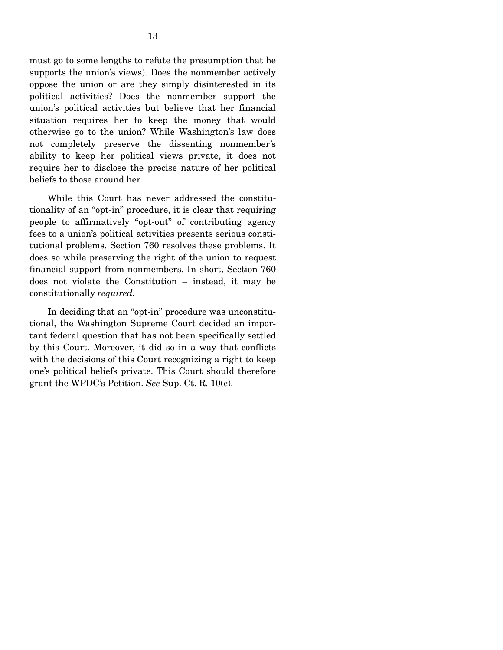must go to some lengths to refute the presumption that he supports the union's views). Does the nonmember actively oppose the union or are they simply disinterested in its political activities? Does the nonmember support the union's political activities but believe that her financial situation requires her to keep the money that would otherwise go to the union? While Washington's law does not completely preserve the dissenting nonmember's ability to keep her political views private, it does not require her to disclose the precise nature of her political beliefs to those around her.

 While this Court has never addressed the constitutionality of an "opt-in" procedure, it is clear that requiring people to affirmatively "opt-out" of contributing agency fees to a union's political activities presents serious constitutional problems. Section 760 resolves these problems. It does so while preserving the right of the union to request financial support from nonmembers. In short, Section 760 does not violate the Constitution – instead, it may be constitutionally *required.* 

 In deciding that an "opt-in" procedure was unconstitutional, the Washington Supreme Court decided an important federal question that has not been specifically settled by this Court. Moreover, it did so in a way that conflicts with the decisions of this Court recognizing a right to keep one's political beliefs private. This Court should therefore grant the WPDC's Petition. *See* Sup. Ct. R. 10(c).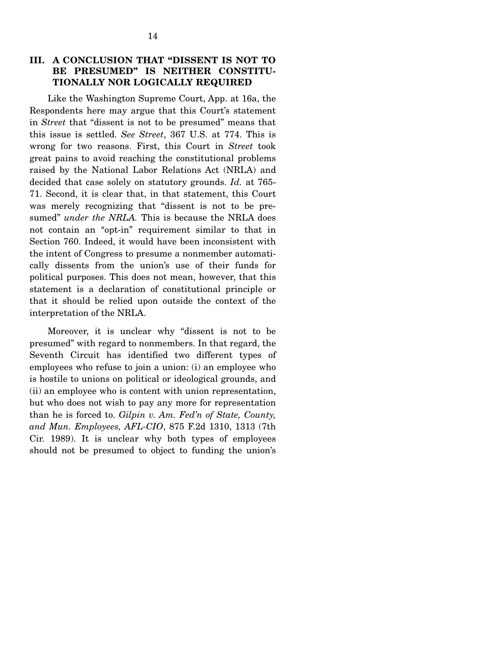## **III. A CONCLUSION THAT "DISSENT IS NOT TO BE PRESUMED" IS NEITHER CONSTITU-TIONALLY NOR LOGICALLY REQUIRED**

 Like the Washington Supreme Court, App. at 16a, the Respondents here may argue that this Court's statement in *Street* that "dissent is not to be presumed" means that this issue is settled. *See Street*, 367 U.S. at 774. This is wrong for two reasons. First, this Court in *Street* took great pains to avoid reaching the constitutional problems raised by the National Labor Relations Act (NRLA) and decided that case solely on statutory grounds. *Id.* at 765- 71. Second, it is clear that, in that statement, this Court was merely recognizing that "dissent is not to be presumed" *under the NRLA*. This is because the NRLA does not contain an "opt-in" requirement similar to that in Section 760. Indeed, it would have been inconsistent with the intent of Congress to presume a nonmember automatically dissents from the union's use of their funds for political purposes. This does not mean, however, that this statement is a declaration of constitutional principle or that it should be relied upon outside the context of the interpretation of the NRLA.

 Moreover, it is unclear why "dissent is not to be presumed" with regard to nonmembers. In that regard, the Seventh Circuit has identified two different types of employees who refuse to join a union: (i) an employee who is hostile to unions on political or ideological grounds, and (ii) an employee who is content with union representation, but who does not wish to pay any more for representation than he is forced to. *Gilpin v. Am. Fed'n of State, County, and Mun. Employees, AFL-CIO*, 875 F.2d 1310, 1313 (7th Cir. 1989). It is unclear why both types of employees should not be presumed to object to funding the union's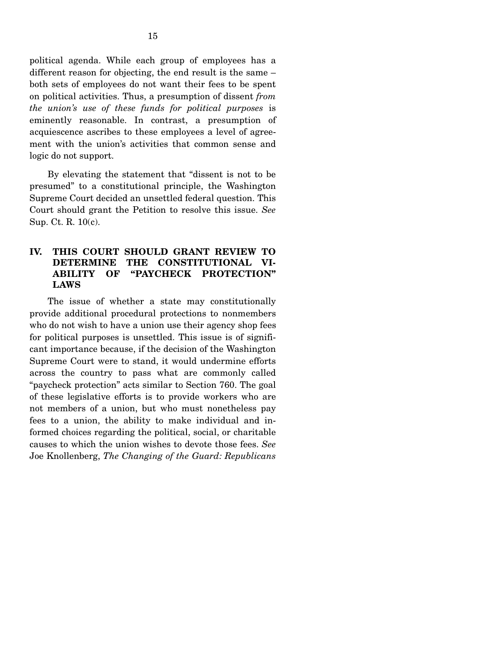political agenda. While each group of employees has a different reason for objecting, the end result is the same – both sets of employees do not want their fees to be spent on political activities. Thus, a presumption of dissent *from the union's use of these funds for political purposes* is eminently reasonable. In contrast, a presumption of acquiescence ascribes to these employees a level of agreement with the union's activities that common sense and logic do not support.

 By elevating the statement that "dissent is not to be presumed" to a constitutional principle, the Washington Supreme Court decided an unsettled federal question. This Court should grant the Petition to resolve this issue. *See*  Sup. Ct. R. 10(c).

### **IV. THIS COURT SHOULD GRANT REVIEW TO DETERMINE THE CONSTITUTIONAL VI-ABILITY OF "PAYCHECK PROTECTION" LAWS**

 The issue of whether a state may constitutionally provide additional procedural protections to nonmembers who do not wish to have a union use their agency shop fees for political purposes is unsettled. This issue is of significant importance because, if the decision of the Washington Supreme Court were to stand, it would undermine efforts across the country to pass what are commonly called "paycheck protection" acts similar to Section 760. The goal of these legislative efforts is to provide workers who are not members of a union, but who must nonetheless pay fees to a union, the ability to make individual and informed choices regarding the political, social, or charitable causes to which the union wishes to devote those fees. *See* Joe Knollenberg, *The Changing of the Guard: Republicans*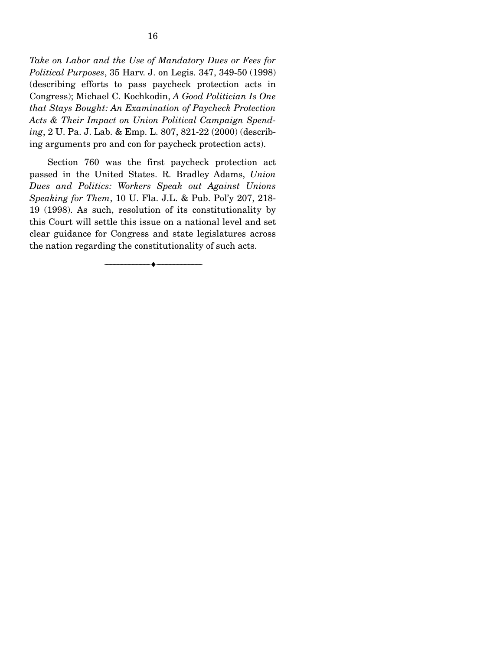*Take on Labor and the Use of Mandatory Dues or Fees for Political Purposes*, 35 Harv. J. on Legis. 347, 349-50 (1998) (describing efforts to pass paycheck protection acts in Congress); Michael C. Kochkodin, *A Good Politician Is One that Stays Bought: An Examination of Paycheck Protection Acts & Their Impact on Union Political Campaign Spending*, 2 U. Pa. J. Lab. & Emp. L. 807, 821-22 (2000) (describing arguments pro and con for paycheck protection acts).

 Section 760 was the first paycheck protection act passed in the United States. R. Bradley Adams, *Union Dues and Politics: Workers Speak out Against Unions Speaking for Them*, 10 U. Fla. J.L. & Pub. Pol'y 207, 218- 19 (1998). As such, resolution of its constitutionality by this Court will settle this issue on a national level and set clear guidance for Congress and state legislatures across the nation regarding the constitutionality of such acts.

--------------------------------- ♦ ---------------------------------